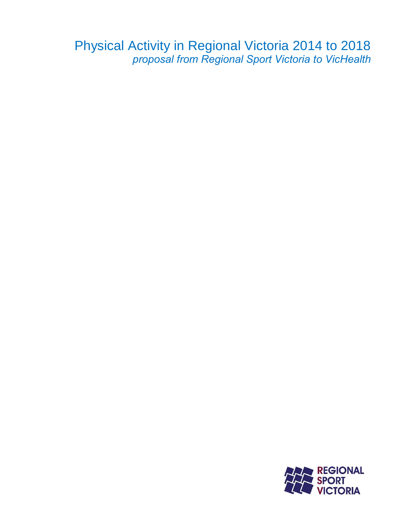Physical Activity in Regional Victoria 2014 to 2018 *proposal from Regional Sport Victoria to VicHealth*

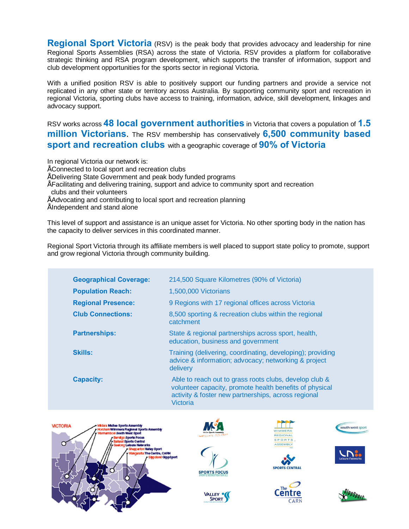**Regional Sport Victoria** (RSV) is the peak body that provides advocacy and leadership for nine Regional Sports Assemblies (RSA) across the state of Victoria. RSV provides a platform for collaborative strategic thinking and RSA program development, which supports the transfer of information, support and club development opportunities for the sports sector in regional Victoria.

With a unified position RSV is able to positively support our funding partners and provide a service not replicated in any other state or territory across Australia. By supporting community sport and recreation in regional Victoria, sporting clubs have access to training, information, advice, skill development, linkages and advocacy support.

RSV works across **48 local government authorities** in Victoria that covers a population of **1.5 million Victorians**. The RSV membership has conservatively **6,500 community based sport and recreation clubs** with a geographic coverage of **90% of Victoria**

In regional Victoria our network is:

- Connected to local sport and recreation clubs
- Delivering State Government and peak body funded programs
- Facilitating and delivering training, support and advice to community sport and recreation clubs and their volunteers
- Advocating and contributing to local sport and recreation planning
- Independent and stand alone

This level of support and assistance is an unique asset for Victoria. No other sporting body in the nation has the capacity to deliver services in this coordinated manner.

Regional Sport Victoria through its affiliate members is well placed to support state policy to promote, support and grow regional Victoria through community building.

| <b>Geographical Coverage:</b> | 214,500 Square Kilometres (90% of Victoria)                                                                                                                                          |  |  |  |
|-------------------------------|--------------------------------------------------------------------------------------------------------------------------------------------------------------------------------------|--|--|--|
| <b>Population Reach:</b>      | 1,500,000 Victorians                                                                                                                                                                 |  |  |  |
| <b>Regional Presence:</b>     | 9 Regions with 17 regional offices across Victoria                                                                                                                                   |  |  |  |
| <b>Club Connections:</b>      | 8,500 sporting & recreation clubs within the regional<br>catchment                                                                                                                   |  |  |  |
| <b>Partnerships:</b>          | State & regional partnerships across sport, health,<br>education, business and government                                                                                            |  |  |  |
| <b>Skills:</b>                | Training (delivering, coordinating, developing); providing<br>advice & information; advocacy; networking & project<br>delivery                                                       |  |  |  |
| <b>Capacity:</b>              | Able to reach out to grass roots clubs, develop club &<br>volunteer capacity, promote health benefits of physical<br>activity & foster new partnerships, across regional<br>Victoria |  |  |  |







VALLEY <sup>.</sup> **SPORT** 





**REGIONA** SPORTS

**SPORTS CENTRAL** 





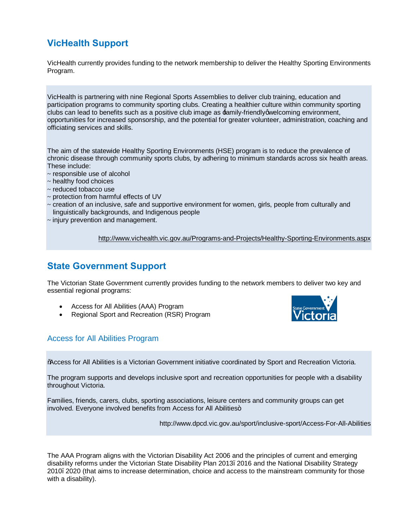# **VicHealth Support**

VicHealth currently provides funding to the network membership to deliver the Healthy Sporting Environments Program.

VicHealth is partnering with nine Regional Sports Assemblies to deliver club training, education and participation programs to community sporting clubs. Creating a healthier culture within community sporting clubs can lead to benefits such as a positive club image as  $\pm$ amily-friendly qwelcoming environment, opportunities for increased sponsorship, and the potential for greater volunteer, administration, coaching and officiating services and skills.

The aim of the statewide Healthy Sporting Environments (HSE) program is to reduce the prevalence of chronic disease through community sports clubs, by adhering to minimum standards across six health areas. These include:

- ~ responsible use of alcohol
- $\sim$  healthy food choices
- ~ reduced tobacco use
- ~ protection from harmful effects of UV
- $\sim$  creation of an inclusive, safe and supportive environment for women, girls, people from culturally and linguistically backgrounds, and Indigenous people
- $\sim$  injury prevention and management.

http://www.vichealth.vic.gov.au/Programs-and-Projects/Healthy-Sporting-Environments.aspx

### **State Government Support**

The Victorian State Government currently provides funding to the network members to deliver two key and essential regional programs:

- · Access for All Abilities (AAA) Program
- Regional Sport and Recreation (RSR) Program



#### Access for All Abilities Program

"Access for All Abilities is a Victorian Government initiative coordinated by Sport and Recreation Victoria.

The program supports and develops inclusive sport and recreation opportunities for people with a disability throughout Victoria.

Families, friends, carers, clubs, sporting associations, leisure centers and community groups can get involved. Everyone involved benefits from Access for All Abilities+

http://www.dpcd.vic.gov.au/sport/inclusive-sport/Access-For-All-Abilities

The AAA Program aligns with the Victorian Disability Act 2006 and the principles of current and emerging disability reforms under the Victorian State Disability Plan 2013–2016 and the National Disability Strategy 2010–2020 (that aims to increase determination, choice and access to the mainstream community for those with a disability).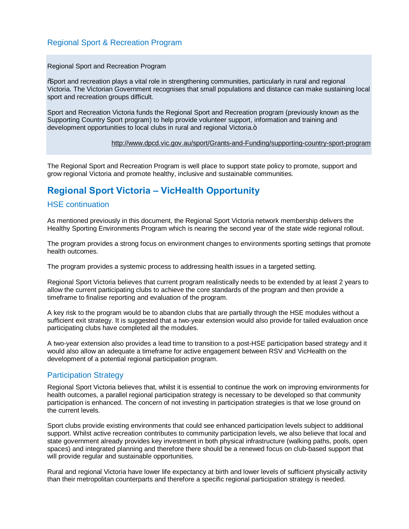### Regional Sport & Recreation Program

Regional Sport and Recreation Program

"Sport and recreation plays a vital role in strengthening communities, particularly in rural and regional Victoria. The Victorian Government recognises that small populations and distance can make sustaining local sport and recreation groups difficult.

Sport and Recreation Victoria funds the Regional Sport and Recreation program (previously known as the Supporting Country Sport program) to help provide volunteer support, information and training and development opportunities to local clubs in rural and regional Victoria.+

http://www.dpcd.vic.gov.au/sport/Grants-and-Funding/supporting-country-sport-program

The Regional Sport and Recreation Program is well place to support state policy to promote, support and grow regional Victoria and promote healthy, inclusive and sustainable communities.

# **Regional Sport Victoria – VicHealth Opportunity**

#### HSE continuation

As mentioned previously in this document, the Regional Sport Victoria network membership delivers the Healthy Sporting Environments Program which is nearing the second year of the state wide regional rollout.

The program provides a strong focus on environment changes to environments sporting settings that promote health outcomes.

The program provides a systemic process to addressing health issues in a targeted setting.

Regional Sport Victoria believes that current program realistically needs to be extended by at least 2 years to allow the current participating clubs to achieve the core standards of the program and then provide a timeframe to finalise reporting and evaluation of the program.

A key risk to the program would be to abandon clubs that are partially through the HSE modules without a sufficient exit strategy. It is suggested that a two-year extension would also provide for tailed evaluation once participating clubs have completed all the modules.

A two-year extension also provides a lead time to transition to a post-HSE participation based strategy and it would also allow an adequate a timeframe for active engagement between RSV and VicHealth on the development of a potential regional participation program.

#### Participation Strategy

Regional Sport Victoria believes that, whilst it is essential to continue the work on improving environments for health outcomes, a parallel regional participation strategy is necessary to be developed so that community participation is enhanced. The concern of not investing in participation strategies is that we lose ground on the current levels.

Sport clubs provide existing environments that could see enhanced participation levels subject to additional support. Whilst active recreation contributes to community participation levels, we also believe that local and state government already provides key investment in both physical infrastructure (walking paths, pools, open spaces) and integrated planning and therefore there should be a renewed focus on club-based support that will provide regular and sustainable opportunities.

Rural and regional Victoria have lower life expectancy at birth and lower levels of sufficient physically activity than their metropolitan counterparts and therefore a specific regional participation strategy is needed.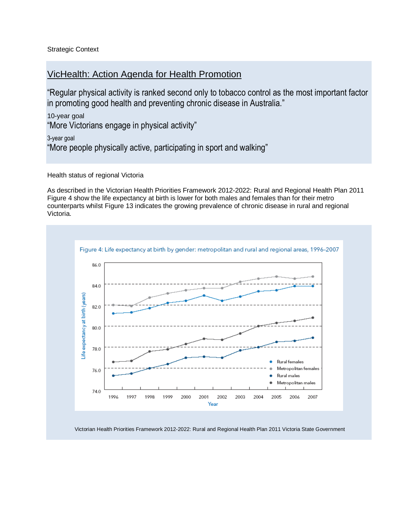Strategic Context

### VicHealth: Action Agenda for Health Promotion

"Regular physical activity is ranked second only to tobacco control as the most important factor in promoting good health and preventing chronic disease in Australia."

10-year goal "More Victorians engage in physical activity"

3-year goal "More people physically active, participating in sport and walking"

Health status of regional Victoria

As described in the Victorian Health Priorities Framework 2012-2022: Rural and Regional Health Plan 2011 Figure 4 show the life expectancy at birth is lower for both males and females than for their metro counterparts whilst Figure 13 indicates the growing prevalence of chronic disease in rural and regional Victoria.



Victorian Health Priorities Framework 2012-2022: Rural and Regional Health Plan 2011 Victoria State Government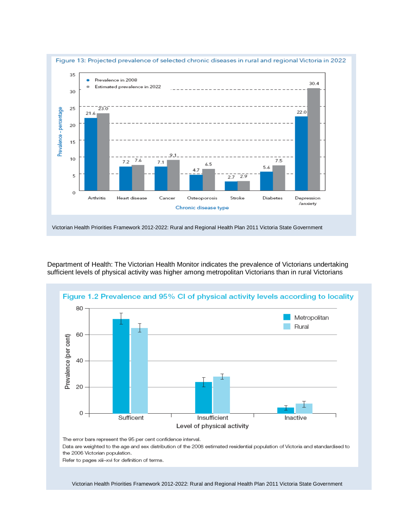

Department of Health: The Victorian Health Monitor indicates the prevalence of Victorians undertaking sufficient levels of physical activity was higher among metropolitan Victorians than in rural Victorians



The error bars represent the 95 per cent confidence interval.

Data are weighted to the age and sex distribution of the 2008 estimated residential population of Victoria and standardised to the 2006 Victorian population.

Refer to pages xiii-xvi for definition of terms.

Victorian Health Priorities Framework 2012-2022: Rural and Regional Health Plan 2011 Victoria State Government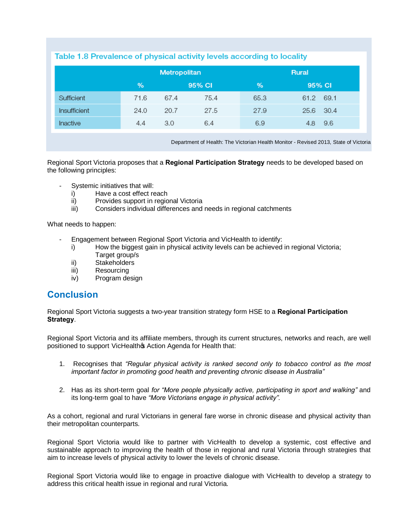### Table 1.8 Prevalence of physical activity levels according to locality

|              | Metropolitan |      |        | <b>Rural</b> |           |      |
|--------------|--------------|------|--------|--------------|-----------|------|
|              | %            |      | 95% CI | $\%$         | 95% CI    |      |
| Sufficient   | 71.6         | 67.4 | 75.4   | 65.3         | 61.2      | 69.1 |
| Insufficient | 24.0         | 20.7 | 27.5   | 27.9         | 25.6 30.4 |      |
| Inactive     | 4.4          | 3.0  | 6.4    | 6.9          | 4.8       | 9.6  |

Department of Health: The Victorian Health Monitor - Revised 2013, State of Victoria

Regional Sport Victoria proposes that a **Regional Participation Strategy** needs to be developed based on the following principles:

- Systemic initiatives that will:
	- i) Have a cost effect reach
	- ii) Provides support in regional Victoria
	- iii) Considers individual differences and needs in regional catchments

What needs to happen:

- Engagement between Regional Sport Victoria and VicHealth to identify:
	- i) How the biggest gain in physical activity levels can be achieved in regional Victoria; Target group/s
	- ii) Stakeholders
	- iii) Resourcing
	- iv) Program design

### **Conclusion**

Regional Sport Victoria suggests a two-year transition strategy form HSE to a **Regional Participation Strategy**.

Regional Sport Victoria and its affiliate members, through its current structures, networks and reach, are well positioned to support VicHealthos Action Agenda for Health that:

- 1. Recognises that *"Regular physical activity is ranked second only to tobacco control as the most important factor in promoting good health and preventing chronic disease in Australia"*
- 2. Has as its short-term goal *for "More people physically active, participating in sport and walking"* and its long-term goal to have *"More Victorians engage in physical activity".*

As a cohort, regional and rural Victorians in general fare worse in chronic disease and physical activity than their metropolitan counterparts.

Regional Sport Victoria would like to partner with VicHealth to develop a systemic, cost effective and sustainable approach to improving the health of those in regional and rural Victoria through strategies that aim to increase levels of physical activity to lower the levels of chronic disease.

Regional Sport Victoria would like to engage in proactive dialogue with VicHealth to develop a strategy to address this critical health issue in regional and rural Victoria.